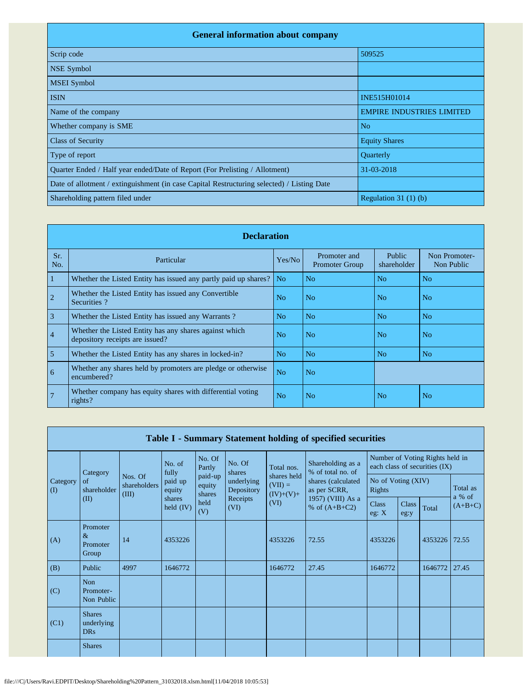| <b>General information about company</b>                                                   |                                  |
|--------------------------------------------------------------------------------------------|----------------------------------|
| Scrip code                                                                                 | 509525                           |
| <b>NSE Symbol</b>                                                                          |                                  |
| <b>MSEI</b> Symbol                                                                         |                                  |
| <b>ISIN</b>                                                                                | INE515H01014                     |
| Name of the company                                                                        | <b>EMPIRE INDUSTRIES LIMITED</b> |
| Whether company is SME                                                                     | N <sub>o</sub>                   |
| <b>Class of Security</b>                                                                   | <b>Equity Shares</b>             |
| Type of report                                                                             | Quarterly                        |
| Quarter Ended / Half year ended/Date of Report (For Prelisting / Allotment)                | 31-03-2018                       |
| Date of allotment / extinguishment (in case Capital Restructuring selected) / Listing Date |                                  |
| Shareholding pattern filed under                                                           | Regulation $31(1)(b)$            |

|                | <b>Declaration</b>                                                                        |                |                                       |                       |                             |  |  |  |  |  |  |  |  |
|----------------|-------------------------------------------------------------------------------------------|----------------|---------------------------------------|-----------------------|-----------------------------|--|--|--|--|--|--|--|--|
| Sr.<br>No.     | Particular                                                                                | Yes/No         | Promoter and<br><b>Promoter Group</b> | Public<br>shareholder | Non Promoter-<br>Non Public |  |  |  |  |  |  |  |  |
| 1              | Whether the Listed Entity has issued any partly paid up shares?                           | N <sub>o</sub> | N <sub>o</sub>                        | N <sub>o</sub>        | N <sub>o</sub>              |  |  |  |  |  |  |  |  |
| $\overline{2}$ | Whether the Listed Entity has issued any Convertible<br>Securities?                       | N <sub>0</sub> | N <sub>o</sub>                        | No.                   | No                          |  |  |  |  |  |  |  |  |
| 3              | Whether the Listed Entity has issued any Warrants?                                        | N <sub>0</sub> | N <sub>o</sub>                        | No                    | No                          |  |  |  |  |  |  |  |  |
| $\overline{4}$ | Whether the Listed Entity has any shares against which<br>depository receipts are issued? | N <sub>o</sub> | N <sub>o</sub>                        | No.                   | No.                         |  |  |  |  |  |  |  |  |
| 5              | Whether the Listed Entity has any shares in locked-in?                                    | N <sub>o</sub> | N <sub>o</sub>                        | N <sub>o</sub>        | N <sub>o</sub>              |  |  |  |  |  |  |  |  |
| 6              | Whether any shares held by promoters are pledge or otherwise<br>encumbered?               | N <sub>o</sub> | N <sub>o</sub>                        |                       |                             |  |  |  |  |  |  |  |  |
| $\sqrt{7}$     | Whether company has equity shares with differential voting<br>rights?                     | N <sub>0</sub> | N <sub>o</sub>                        | N <sub>o</sub>        | No                          |  |  |  |  |  |  |  |  |

|                 | Table I - Summary Statement holding of specified securities |                                  |                       |                             |                          |                                         |                                        |                              |                      |                                                                  |                                 |  |  |
|-----------------|-------------------------------------------------------------|----------------------------------|-----------------------|-----------------------------|--------------------------|-----------------------------------------|----------------------------------------|------------------------------|----------------------|------------------------------------------------------------------|---------------------------------|--|--|
|                 | Category                                                    |                                  | No. of<br>fully       | No. Of<br>Partly            | No. Of<br>shares         | Total nos.                              | Shareholding as a<br>% of total no. of |                              |                      | Number of Voting Rights held in<br>each class of securities (IX) |                                 |  |  |
| Category<br>(I) | of<br>shareholder                                           | Nos. Of<br>shareholders<br>(III) | paid up<br>equity     | paid-up<br>equity<br>shares | underlying<br>Depository | shares held<br>$(VII) =$<br>$(IV)+(V)+$ | shares (calculated<br>as per SCRR,     | No of Voting (XIV)<br>Rights |                      |                                                                  | Total as<br>a % of<br>$(A+B+C)$ |  |  |
|                 | (II)                                                        |                                  | shares<br>held $(IV)$ | held<br>(V)                 | Receipts<br>(VI)         | (VI)                                    | 1957) (VIII) As a<br>% of $(A+B+C2)$   | <b>Class</b><br>eg: X        | <b>Class</b><br>eg:y | Total                                                            |                                 |  |  |
| (A)             | Promoter<br>$\&$<br>Promoter<br>Group                       | 14                               | 4353226               |                             |                          | 4353226                                 | 72.55                                  | 4353226                      |                      | 4353226                                                          | 72.55                           |  |  |
| (B)             | Public                                                      | 4997                             | 1646772               |                             |                          | 1646772                                 | 27.45                                  | 1646772                      |                      | 1646772                                                          | 27.45                           |  |  |
| (C)             | <b>Non</b><br>Promoter-<br>Non Public                       |                                  |                       |                             |                          |                                         |                                        |                              |                      |                                                                  |                                 |  |  |
| (C1)            | <b>Shares</b><br>underlying<br><b>DRs</b>                   |                                  |                       |                             |                          |                                         |                                        |                              |                      |                                                                  |                                 |  |  |
|                 | <b>Shares</b>                                               |                                  |                       |                             |                          |                                         |                                        |                              |                      |                                                                  |                                 |  |  |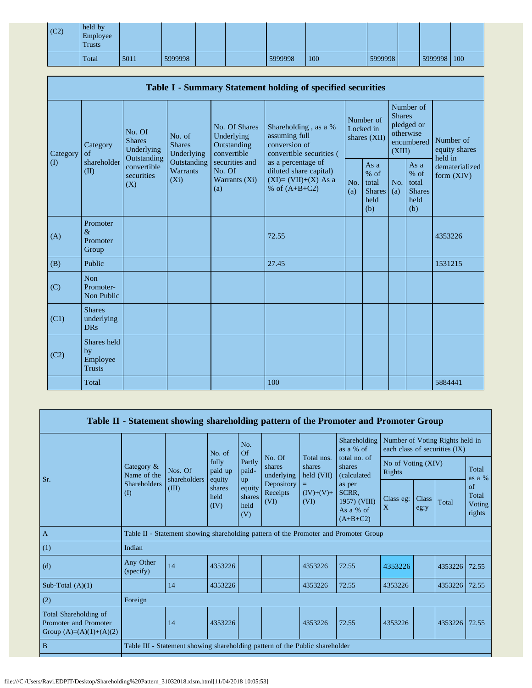| (C2) | held by<br>Employee<br><b>Trusts</b> |      |         |  |         |     |         |             |  |
|------|--------------------------------------|------|---------|--|---------|-----|---------|-------------|--|
|      | Total                                | 5011 | 5999998 |  | 5999998 | 100 | 5999998 | 5999998 100 |  |

| Table I - Summary Statement holding of specified securities |                                                |                                                                                          |                                                                             |                                                                                                               |                                                                                          |                                        |                                                         |                                                                               |                                                       |                                       |  |  |
|-------------------------------------------------------------|------------------------------------------------|------------------------------------------------------------------------------------------|-----------------------------------------------------------------------------|---------------------------------------------------------------------------------------------------------------|------------------------------------------------------------------------------------------|----------------------------------------|---------------------------------------------------------|-------------------------------------------------------------------------------|-------------------------------------------------------|---------------------------------------|--|--|
| Category<br>$\rm (I)$                                       | Category<br>of<br>shareholder<br>(II)          | No. Of<br><b>Shares</b><br>Underlying<br>Outstanding<br>convertible<br>securities<br>(X) | No. of<br><b>Shares</b><br>Underlying<br>Outstanding<br>Warrants<br>$(X_i)$ | No. Of Shares<br>Underlying<br>Outstanding<br>convertible<br>securities and<br>No. Of<br>Warrants (Xi)<br>(a) | Shareholding, as a %<br>assuming full<br>conversion of<br>convertible securities (       | Number of<br>Locked in<br>shares (XII) |                                                         | Number of<br><b>Shares</b><br>pledged or<br>otherwise<br>encumbered<br>(XIII) |                                                       | Number of<br>equity shares<br>held in |  |  |
|                                                             |                                                |                                                                                          |                                                                             |                                                                                                               | as a percentage of<br>diluted share capital)<br>$(XI)=(VII)+(X)$ As a<br>% of $(A+B+C2)$ | No.<br>(a)                             | As a<br>$%$ of<br>total<br><b>Shares</b><br>held<br>(b) | No.<br>(a)                                                                    | As a<br>% of<br>total<br><b>Shares</b><br>held<br>(b) | dematerialized<br>form $(XIV)$        |  |  |
| (A)                                                         | Promoter<br>$\&$<br>Promoter<br>Group          |                                                                                          |                                                                             |                                                                                                               | 72.55                                                                                    |                                        |                                                         |                                                                               |                                                       | 4353226                               |  |  |
| (B)                                                         | Public                                         |                                                                                          |                                                                             |                                                                                                               | 27.45                                                                                    |                                        |                                                         |                                                                               |                                                       | 1531215                               |  |  |
| (C)                                                         | <b>Non</b><br>Promoter-<br>Non Public          |                                                                                          |                                                                             |                                                                                                               |                                                                                          |                                        |                                                         |                                                                               |                                                       |                                       |  |  |
| (C1)                                                        | <b>Shares</b><br>underlying<br><b>DRs</b>      |                                                                                          |                                                                             |                                                                                                               |                                                                                          |                                        |                                                         |                                                                               |                                                       |                                       |  |  |
| (C2)                                                        | Shares held<br>by<br>Employee<br><b>Trusts</b> |                                                                                          |                                                                             |                                                                                                               |                                                                                          |                                        |                                                         |                                                                               |                                                       |                                       |  |  |
|                                                             | Total                                          |                                                                                          |                                                                             |                                                                                                               | 100                                                                                      |                                        |                                                         |                                                                               |                                                       | 5884441                               |  |  |

|                                                                             |                                        |                                                                                      |                                                      |                                 |                                |                                    | Table II - Statement showing shareholding pattern of the Promoter and Promoter Group |                                 |               |                               |                                 |  |
|-----------------------------------------------------------------------------|----------------------------------------|--------------------------------------------------------------------------------------|------------------------------------------------------|---------------------------------|--------------------------------|------------------------------------|--------------------------------------------------------------------------------------|---------------------------------|---------------|-------------------------------|---------------------------------|--|
|                                                                             |                                        |                                                                                      | No. of                                               | No.<br>Of                       |                                |                                    | Shareholding<br>as a $%$ of                                                          | Number of Voting Rights held in |               | each class of securities (IX) |                                 |  |
| Sr.                                                                         | Category &<br>Name of the              | Nos. Of<br>shareholders                                                              | fully<br>paid up<br>equity<br>shares<br>held<br>(IV) | Partly<br>paid-<br>up           | No. Of<br>shares<br>underlying | Total nos.<br>shares<br>held (VII) | total no. of<br>shares<br>(calculated                                                | No of Voting (XIV)<br>Rights    |               |                               | Total<br>as a %                 |  |
|                                                                             | <b>Shareholders</b><br>(III)<br>$($ I) |                                                                                      |                                                      | equity<br>shares<br>held<br>(V) | Depository<br>Receipts<br>(VI) | $(IV)+(V)+$<br>(VI)                | as per<br>SCRR,<br>1957) (VIII)<br>As a % of<br>$(A+B+C2)$                           | Class eg:<br>X                  | Class<br>eg:y | Total                         | of<br>Total<br>Voting<br>rights |  |
| $\overline{A}$                                                              |                                        | Table II - Statement showing shareholding pattern of the Promoter and Promoter Group |                                                      |                                 |                                |                                    |                                                                                      |                                 |               |                               |                                 |  |
| (1)                                                                         | Indian                                 |                                                                                      |                                                      |                                 |                                |                                    |                                                                                      |                                 |               |                               |                                 |  |
| (d)                                                                         | Any Other<br>(specify)                 | 14                                                                                   | 4353226                                              |                                 |                                | 4353226                            | 72.55                                                                                | 4353226                         |               | 4353226                       | 72.55                           |  |
| Sub-Total $(A)(1)$                                                          |                                        | 14                                                                                   | 4353226                                              |                                 |                                | 4353226                            | 72.55                                                                                | 4353226                         |               | 4353226                       | 72.55                           |  |
| (2)                                                                         | Foreign                                |                                                                                      |                                                      |                                 |                                |                                    |                                                                                      |                                 |               |                               |                                 |  |
| Total Shareholding of<br>Promoter and Promoter<br>Group $(A)=(A)(1)+(A)(2)$ |                                        | 14                                                                                   | 4353226                                              |                                 |                                | 4353226                            | 72.55                                                                                | 4353226                         |               | 4353226                       | 72.55                           |  |
| B                                                                           |                                        | Table III - Statement showing shareholding pattern of the Public shareholder         |                                                      |                                 |                                |                                    |                                                                                      |                                 |               |                               |                                 |  |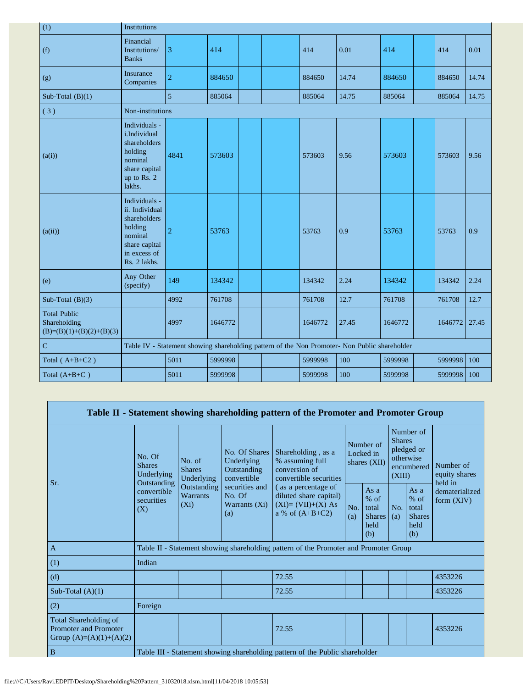| (1)                                                               | <b>Institutions</b>                                                                                                    |                |         |  |  |         |                                                                                               |         |  |         |       |
|-------------------------------------------------------------------|------------------------------------------------------------------------------------------------------------------------|----------------|---------|--|--|---------|-----------------------------------------------------------------------------------------------|---------|--|---------|-------|
| (f)                                                               | Financial<br>Institutions/<br><b>Banks</b>                                                                             | 3              | 414     |  |  | 414     | 0.01                                                                                          | 414     |  | 414     | 0.01  |
| (g)                                                               | Insurance<br>Companies                                                                                                 | $\overline{2}$ | 884650  |  |  | 884650  | 14.74                                                                                         | 884650  |  | 884650  | 14.74 |
| Sub-Total $(B)(1)$                                                |                                                                                                                        | 5              | 885064  |  |  | 885064  | 14.75                                                                                         | 885064  |  | 885064  | 14.75 |
| (3)                                                               | Non-institutions                                                                                                       |                |         |  |  |         |                                                                                               |         |  |         |       |
| (a(i))                                                            | Individuals -<br>i.Individual<br>shareholders<br>holding<br>nominal<br>share capital<br>up to Rs. 2<br>lakhs.          | 4841           | 573603  |  |  | 573603  | 9.56                                                                                          | 573603  |  | 573603  | 9.56  |
| (a(ii))                                                           | Individuals -<br>ii. Individual<br>shareholders<br>holding<br>nominal<br>share capital<br>in excess of<br>Rs. 2 lakhs. | $\overline{2}$ | 53763   |  |  | 53763   | 0.9                                                                                           | 53763   |  | 53763   | 0.9   |
| (e)                                                               | Any Other<br>(specify)                                                                                                 | 149            | 134342  |  |  | 134342  | 2.24                                                                                          | 134342  |  | 134342  | 2.24  |
| Sub-Total $(B)(3)$                                                |                                                                                                                        | 4992           | 761708  |  |  | 761708  | 12.7                                                                                          | 761708  |  | 761708  | 12.7  |
| <b>Total Public</b><br>Shareholding<br>$(B)=(B)(1)+(B)(2)+(B)(3)$ |                                                                                                                        | 4997           | 1646772 |  |  | 1646772 | 27.45                                                                                         | 1646772 |  | 1646772 | 27.45 |
| $\overline{C}$                                                    |                                                                                                                        |                |         |  |  |         | Table IV - Statement showing shareholding pattern of the Non Promoter- Non Public shareholder |         |  |         |       |
| Total $(A+B+C2)$                                                  |                                                                                                                        | 5011           | 5999998 |  |  | 5999998 | 100                                                                                           | 5999998 |  | 5999998 | 100   |
| Total $(A+B+C)$                                                   |                                                                                                                        | 5011           | 5999998 |  |  | 5999998 | 100                                                                                           | 5999998 |  | 5999998 | 100   |

|     |                                                                             |                                       |                                                           |                                                                                  | Table II - Statement showing shareholding pattern of the Promoter and Promoter Group      |            |                                                                               |            |                                                           |                                |  |
|-----|-----------------------------------------------------------------------------|---------------------------------------|-----------------------------------------------------------|----------------------------------------------------------------------------------|-------------------------------------------------------------------------------------------|------------|-------------------------------------------------------------------------------|------------|-----------------------------------------------------------|--------------------------------|--|
| Sr. | No. Of<br><b>Shares</b><br>Underlying<br>Outstanding                        | No. of<br><b>Shares</b><br>Underlying | No. Of Shares<br>Underlying<br>Outstanding<br>convertible | Shareholding, as a<br>% assuming full<br>conversion of<br>convertible securities | Number of<br>Locked in<br>shares (XII)                                                    |            | Number of<br><b>Shares</b><br>pledged or<br>otherwise<br>encumbered<br>(XIII) |            | Number of<br>equity shares<br>held in                     |                                |  |
|     |                                                                             | convertible<br>securities<br>(X)      | Outstanding<br>Warrants<br>$(X_i)$                        | securities and<br>No. Of<br>Warrants $(X_i)$<br>(a)                              | (as a percentage of<br>diluted share capital)<br>$(XI)=(VII)+(X) As$<br>a % of $(A+B+C2)$ | No.<br>(a) | As $a$<br>$%$ of<br>total<br><b>Shares</b><br>held<br>(b)                     | No.<br>(a) | As $a$<br>$%$ of<br>total<br><b>Shares</b><br>held<br>(b) | dematerialized<br>form $(XIV)$ |  |
|     | $\mathbf{A}$                                                                |                                       |                                                           |                                                                                  | Table II - Statement showing shareholding pattern of the Promoter and Promoter Group      |            |                                                                               |            |                                                           |                                |  |
|     | (1)                                                                         | Indian                                |                                                           |                                                                                  |                                                                                           |            |                                                                               |            |                                                           |                                |  |
|     | (d)                                                                         |                                       |                                                           |                                                                                  | 72.55                                                                                     |            |                                                                               |            |                                                           | 4353226                        |  |
|     | Sub-Total $(A)(1)$                                                          |                                       |                                                           |                                                                                  | 72.55                                                                                     |            |                                                                               |            |                                                           | 4353226                        |  |
|     | (2)                                                                         | Foreign                               |                                                           |                                                                                  |                                                                                           |            |                                                                               |            |                                                           |                                |  |
|     | Total Shareholding of<br>Promoter and Promoter<br>Group $(A)=(A)(1)+(A)(2)$ |                                       |                                                           |                                                                                  | 72.55                                                                                     |            |                                                                               |            |                                                           | 4353226                        |  |
|     | B                                                                           |                                       |                                                           |                                                                                  | Table III - Statement showing shareholding pattern of the Public shareholder              |            |                                                                               |            |                                                           |                                |  |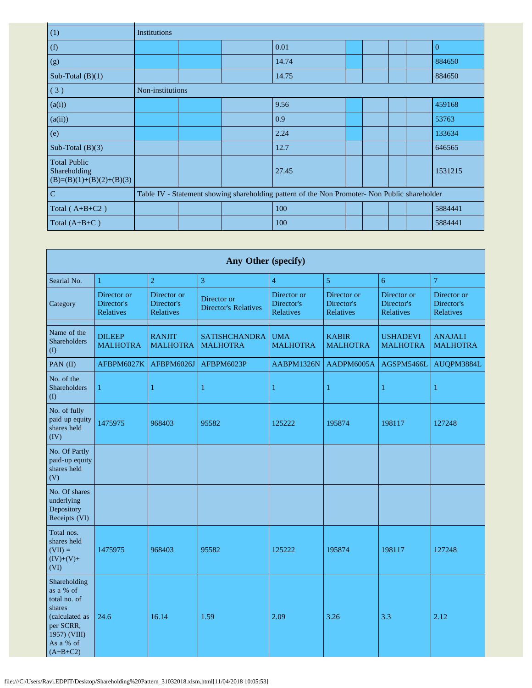| (1)                                                               | Institutions     |  |                                                                                               |  |  |          |
|-------------------------------------------------------------------|------------------|--|-----------------------------------------------------------------------------------------------|--|--|----------|
| (f)                                                               |                  |  | 0.01                                                                                          |  |  | $\Omega$ |
| (g)                                                               |                  |  | 14.74                                                                                         |  |  | 884650   |
| Sub-Total $(B)(1)$                                                |                  |  | 14.75                                                                                         |  |  | 884650   |
| (3)                                                               | Non-institutions |  |                                                                                               |  |  |          |
| (a(i))                                                            |                  |  | 9.56                                                                                          |  |  | 459168   |
| (a(ii))                                                           |                  |  | 0.9                                                                                           |  |  | 53763    |
| (e)                                                               |                  |  | 2.24                                                                                          |  |  | 133634   |
| Sub-Total $(B)(3)$                                                |                  |  | 12.7                                                                                          |  |  | 646565   |
| <b>Total Public</b><br>Shareholding<br>$(B)=(B)(1)+(B)(2)+(B)(3)$ |                  |  | 27.45                                                                                         |  |  | 1531215  |
| $\mathbf C$                                                       |                  |  | Table IV - Statement showing shareholding pattern of the Non Promoter- Non Public shareholder |  |  |          |
| Total $(A+B+C2)$                                                  |                  |  | 100                                                                                           |  |  | 5884441  |
| Total $(A+B+C)$                                                   |                  |  | 100                                                                                           |  |  | 5884441  |

| Any Other (specify)                                                                                                           |                                        |                                        |                                            |                                        |                                        |                                        |                                        |  |  |  |  |
|-------------------------------------------------------------------------------------------------------------------------------|----------------------------------------|----------------------------------------|--------------------------------------------|----------------------------------------|----------------------------------------|----------------------------------------|----------------------------------------|--|--|--|--|
| Searial No.                                                                                                                   | 1                                      | $\overline{2}$                         | 3                                          | $\overline{4}$                         | 5                                      | 6                                      | 7                                      |  |  |  |  |
| Category                                                                                                                      | Director or<br>Director's<br>Relatives | Director or<br>Director's<br>Relatives | Director or<br><b>Director's Relatives</b> | Director or<br>Director's<br>Relatives | Director or<br>Director's<br>Relatives | Director or<br>Director's<br>Relatives | Director or<br>Director's<br>Relatives |  |  |  |  |
| Name of the<br>Shareholders<br>(1)                                                                                            | <b>DILEEP</b><br><b>MALHOTRA</b>       | <b>RANJIT</b><br><b>MALHOTRA</b>       | <b>SATISHCHANDRA</b><br><b>MALHOTRA</b>    | <b>UMA</b><br><b>MALHOTRA</b>          | <b>KABIR</b><br><b>MALHOTRA</b>        | <b>USHADEVI</b><br><b>MALHOTRA</b>     | <b>ANAJALI</b><br><b>MALHOTRA</b>      |  |  |  |  |
| PAN (II)                                                                                                                      | AFBPM6027K                             | AFBPM6026J                             | AFBPM6023P                                 | AABPM1326N                             | AADPM6005A                             | AGSPM5466L                             | AUQPM3884L                             |  |  |  |  |
| No. of the<br><b>Shareholders</b><br>(I)                                                                                      | $\mathbf{1}$                           | $\mathbf{1}$                           | $\mathbf{1}$                               | $\mathbf{1}$                           | 1                                      | 1                                      | $\mathbf{1}$                           |  |  |  |  |
| No. of fully<br>paid up equity<br>shares held<br>(IV)                                                                         | 1475975                                | 968403                                 | 95582                                      | 125222                                 | 195874                                 | 198117                                 | 127248                                 |  |  |  |  |
| No. Of Partly<br>paid-up equity<br>shares held<br>(V)                                                                         |                                        |                                        |                                            |                                        |                                        |                                        |                                        |  |  |  |  |
| No. Of shares<br>underlying<br>Depository<br>Receipts (VI)                                                                    |                                        |                                        |                                            |                                        |                                        |                                        |                                        |  |  |  |  |
| Total nos.<br>shares held<br>$(VII) =$<br>$(IV)+(V)+$<br>(VI)                                                                 | 1475975                                | 968403                                 | 95582                                      | 125222                                 | 195874                                 | 198117                                 | 127248                                 |  |  |  |  |
| Shareholding<br>as a % of<br>total no. of<br>shares<br>(calculated as<br>per SCRR,<br>1957) (VIII)<br>As a % of<br>$(A+B+C2)$ | 24.6                                   | 16.14                                  | 1.59                                       | 2.09                                   | 3.26                                   | 3.3                                    | 2.12                                   |  |  |  |  |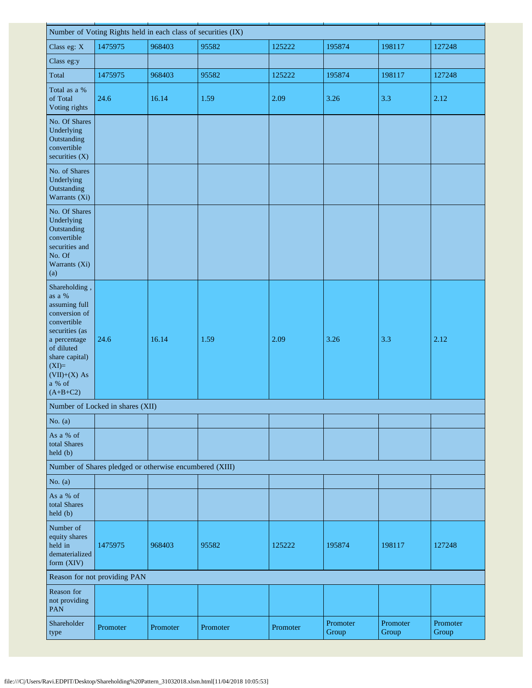| Number of Voting Rights held in each class of securities (IX)                                                                                                                                   |                                                         |          |          |          |                   |                   |                   |  |  |  |  |
|-------------------------------------------------------------------------------------------------------------------------------------------------------------------------------------------------|---------------------------------------------------------|----------|----------|----------|-------------------|-------------------|-------------------|--|--|--|--|
| Class eg: X                                                                                                                                                                                     | 1475975                                                 | 968403   | 95582    | 125222   | 195874            | 198117            | 127248            |  |  |  |  |
| Class eg:y                                                                                                                                                                                      |                                                         |          |          |          |                   |                   |                   |  |  |  |  |
| Total                                                                                                                                                                                           | 1475975                                                 | 968403   | 95582    | 125222   | 195874            | 198117            | 127248            |  |  |  |  |
| Total as a %<br>of Total<br>Voting rights                                                                                                                                                       | 24.6                                                    | 16.14    | 1.59     | 2.09     | 3.26              | 3.3               | 2.12              |  |  |  |  |
| No. Of Shares<br>Underlying<br>Outstanding<br>convertible<br>securities (X)                                                                                                                     |                                                         |          |          |          |                   |                   |                   |  |  |  |  |
| No. of Shares<br>Underlying<br>Outstanding<br>Warrants (Xi)                                                                                                                                     |                                                         |          |          |          |                   |                   |                   |  |  |  |  |
| No. Of Shares<br>Underlying<br>Outstanding<br>convertible<br>securities and<br>No. Of<br>Warrants (Xi)<br>(a)                                                                                   |                                                         |          |          |          |                   |                   |                   |  |  |  |  |
| Shareholding,<br>as a %<br>assuming full<br>conversion of<br>convertible<br>securities (as<br>a percentage<br>of diluted<br>share capital)<br>$(XI)=$<br>$(VII)+(X)$ As<br>a % of<br>$(A+B+C2)$ | 24.6                                                    | 16.14    | 1.59     | 2.09     | 3.26              | 3.3               | 2.12              |  |  |  |  |
|                                                                                                                                                                                                 | Number of Locked in shares (XII)                        |          |          |          |                   |                   |                   |  |  |  |  |
| No. $(a)$                                                                                                                                                                                       |                                                         |          |          |          |                   |                   |                   |  |  |  |  |
| As a % of<br>total Shares<br>held(b)                                                                                                                                                            |                                                         |          |          |          |                   |                   |                   |  |  |  |  |
|                                                                                                                                                                                                 | Number of Shares pledged or otherwise encumbered (XIII) |          |          |          |                   |                   |                   |  |  |  |  |
| No. $(a)$                                                                                                                                                                                       |                                                         |          |          |          |                   |                   |                   |  |  |  |  |
| As a % of<br>total Shares<br>held (b)                                                                                                                                                           |                                                         |          |          |          |                   |                   |                   |  |  |  |  |
| Number of<br>equity shares<br>held in<br>dematerialized<br>form (XIV)                                                                                                                           | 1475975                                                 | 968403   | 95582    | 125222   | 195874            | 198117            | 127248            |  |  |  |  |
|                                                                                                                                                                                                 | Reason for not providing PAN                            |          |          |          |                   |                   |                   |  |  |  |  |
| Reason for<br>not providing<br><b>PAN</b>                                                                                                                                                       |                                                         |          |          |          |                   |                   |                   |  |  |  |  |
| Shareholder<br>type                                                                                                                                                                             | Promoter                                                | Promoter | Promoter | Promoter | Promoter<br>Group | Promoter<br>Group | Promoter<br>Group |  |  |  |  |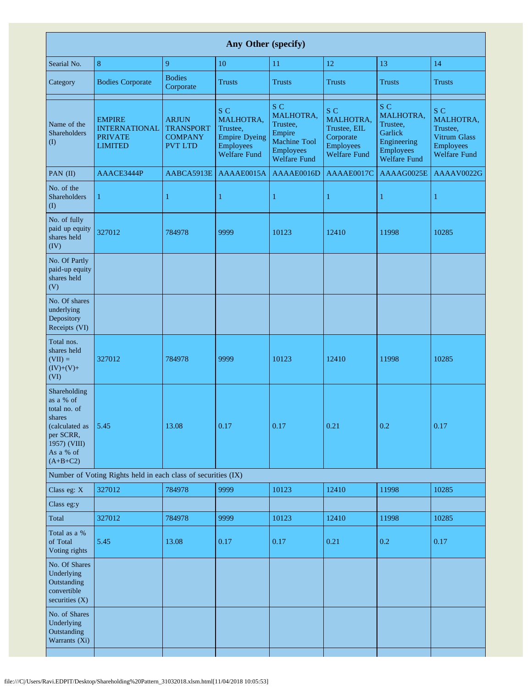| Any Other (specify)                                                                                                           |                                                                           |                                                                      |                                                                                                 |                                                                                                          |                                                                                          |                                                                                            |                                                                                                |  |  |  |  |  |
|-------------------------------------------------------------------------------------------------------------------------------|---------------------------------------------------------------------------|----------------------------------------------------------------------|-------------------------------------------------------------------------------------------------|----------------------------------------------------------------------------------------------------------|------------------------------------------------------------------------------------------|--------------------------------------------------------------------------------------------|------------------------------------------------------------------------------------------------|--|--|--|--|--|
| Searial No.                                                                                                                   | $\,8\,$                                                                   | 9                                                                    | 10                                                                                              | 11                                                                                                       | 12                                                                                       | 13                                                                                         | 14                                                                                             |  |  |  |  |  |
| Category                                                                                                                      | <b>Bodies Corporate</b>                                                   | <b>Bodies</b><br>Corporate                                           | <b>Trusts</b>                                                                                   | <b>Trusts</b>                                                                                            | <b>Trusts</b>                                                                            | <b>Trusts</b>                                                                              | <b>Trusts</b>                                                                                  |  |  |  |  |  |
| Name of the<br>Shareholders<br>(1)                                                                                            | <b>EMPIRE</b><br><b>INTERNATIONAL</b><br><b>PRIVATE</b><br><b>LIMITED</b> | <b>ARJUN</b><br><b>TRANSPORT</b><br><b>COMPANY</b><br><b>PVT LTD</b> | S C<br>MALHOTRA.<br>Trustee,<br><b>Empire Dyeing</b><br><b>Employees</b><br><b>Welfare Fund</b> | S C<br>MALHOTRA,<br>Trustee,<br>Empire<br><b>Machine Tool</b><br><b>Employees</b><br><b>Welfare Fund</b> | S C<br>MALHOTRA,<br>Trustee, EIL<br>Corporate<br><b>Employees</b><br><b>Welfare Fund</b> | S C<br>MALHOTRA,<br>Trustee,<br>Garlick<br>Engineering<br>Employees<br><b>Welfare Fund</b> | S C<br><b>MALHOTRA.</b><br>Trustee,<br>Vitrum Glass<br><b>Employees</b><br><b>Welfare Fund</b> |  |  |  |  |  |
| PAN (II)                                                                                                                      | AAACE3444P                                                                | AABCA5913E                                                           | AAAAE0015A                                                                                      | AAAAE0016D                                                                                               | AAAAE0017C                                                                               | AAAAG0025E                                                                                 | AAAAV0022G                                                                                     |  |  |  |  |  |
| No. of the<br><b>Shareholders</b><br>$\rm (I)$                                                                                | $\mathbf{1}$                                                              | $\mathbf{1}$                                                         | $\mathbf{1}$                                                                                    | 1                                                                                                        | 1                                                                                        | 1                                                                                          | 1                                                                                              |  |  |  |  |  |
| No. of fully<br>paid up equity<br>shares held<br>$(\overline{IV})$                                                            | 327012                                                                    | 784978                                                               | 9999                                                                                            | 10123                                                                                                    | 12410                                                                                    | 11998                                                                                      | 10285                                                                                          |  |  |  |  |  |
| No. Of Partly<br>paid-up equity<br>shares held<br>(V)                                                                         |                                                                           |                                                                      |                                                                                                 |                                                                                                          |                                                                                          |                                                                                            |                                                                                                |  |  |  |  |  |
| No. Of shares<br>underlying<br>Depository<br>Receipts (VI)                                                                    |                                                                           |                                                                      |                                                                                                 |                                                                                                          |                                                                                          |                                                                                            |                                                                                                |  |  |  |  |  |
| Total nos.<br>shares held<br>$(VII) =$<br>$(IV)+(V)+$<br>(VI)                                                                 | 327012                                                                    | 784978                                                               | 9999                                                                                            | 10123                                                                                                    | 12410                                                                                    | 11998                                                                                      | 10285                                                                                          |  |  |  |  |  |
| Shareholding<br>as a % of<br>total no. of<br>shares<br>(calculated as<br>per SCRR,<br>1957) (VIII)<br>As a % of<br>$(A+B+C2)$ | 5.45                                                                      | 13.08                                                                | 0.17                                                                                            | 0.17                                                                                                     | 0.21                                                                                     | 0.2                                                                                        | 0.17                                                                                           |  |  |  |  |  |
|                                                                                                                               | Number of Voting Rights held in each class of securities (IX)             |                                                                      |                                                                                                 |                                                                                                          |                                                                                          |                                                                                            |                                                                                                |  |  |  |  |  |
| Class eg: X                                                                                                                   | 327012                                                                    | 784978                                                               | 9999                                                                                            | 10123                                                                                                    | 12410                                                                                    | 11998                                                                                      | 10285                                                                                          |  |  |  |  |  |
| Class eg:y                                                                                                                    |                                                                           |                                                                      |                                                                                                 |                                                                                                          |                                                                                          |                                                                                            |                                                                                                |  |  |  |  |  |
| Total<br>Total as a %<br>of Total<br>Voting rights                                                                            | 327012<br>5.45                                                            | 784978<br>13.08                                                      | 9999<br>0.17                                                                                    | 10123<br>0.17                                                                                            | 12410<br>0.21                                                                            | 11998<br>0.2                                                                               | 10285<br>0.17                                                                                  |  |  |  |  |  |
| No. Of Shares<br>Underlying<br>Outstanding<br>convertible<br>securities (X)                                                   |                                                                           |                                                                      |                                                                                                 |                                                                                                          |                                                                                          |                                                                                            |                                                                                                |  |  |  |  |  |
| No. of Shares<br>Underlying<br>Outstanding<br>Warrants (Xi)                                                                   |                                                                           |                                                                      |                                                                                                 |                                                                                                          |                                                                                          |                                                                                            |                                                                                                |  |  |  |  |  |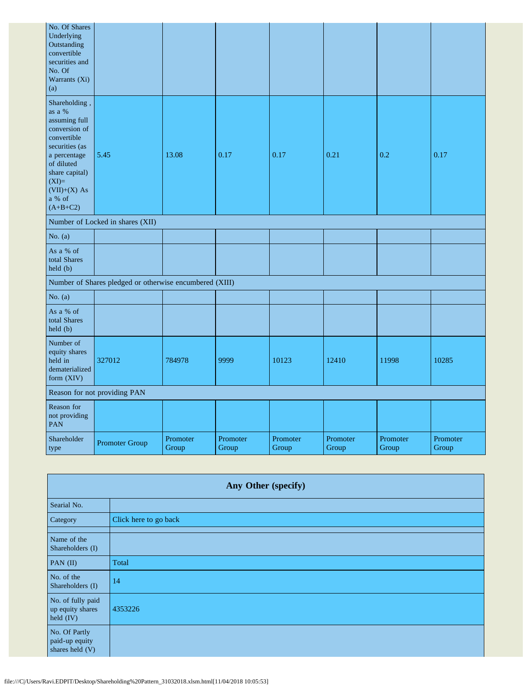| No. Of Shares<br>Underlying<br>Outstanding<br>convertible<br>securities and<br>No. Of<br>Warrants (Xi)<br>(a)                                                                                   |                                                         |                   |                   |                   |                   |                   |                   |
|-------------------------------------------------------------------------------------------------------------------------------------------------------------------------------------------------|---------------------------------------------------------|-------------------|-------------------|-------------------|-------------------|-------------------|-------------------|
| Shareholding,<br>as a %<br>assuming full<br>conversion of<br>convertible<br>securities (as<br>a percentage<br>of diluted<br>share capital)<br>$(XI)=$<br>$(VII)+(X)$ As<br>a % of<br>$(A+B+C2)$ | 5.45                                                    | 13.08             | 0.17              | 0.17              | 0.21              | 0.2               | 0.17              |
|                                                                                                                                                                                                 | Number of Locked in shares (XII)                        |                   |                   |                   |                   |                   |                   |
| No. $(a)$                                                                                                                                                                                       |                                                         |                   |                   |                   |                   |                   |                   |
| As a % of<br>total Shares<br>held(b)                                                                                                                                                            |                                                         |                   |                   |                   |                   |                   |                   |
|                                                                                                                                                                                                 | Number of Shares pledged or otherwise encumbered (XIII) |                   |                   |                   |                   |                   |                   |
| No. $(a)$                                                                                                                                                                                       |                                                         |                   |                   |                   |                   |                   |                   |
| As a % of<br>total Shares<br>held (b)                                                                                                                                                           |                                                         |                   |                   |                   |                   |                   |                   |
| Number of<br>equity shares<br>held in<br>dematerialized<br>form (XIV)                                                                                                                           | 327012                                                  | 784978            | 9999              | 10123             | 12410             | 11998             | 10285             |
| Reason for not providing PAN                                                                                                                                                                    |                                                         |                   |                   |                   |                   |                   |                   |
| Reason for<br>not providing<br>PAN                                                                                                                                                              |                                                         |                   |                   |                   |                   |                   |                   |
| Shareholder<br>type                                                                                                                                                                             | Promoter Group                                          | Promoter<br>Group | Promoter<br>Group | Promoter<br>Group | Promoter<br>Group | Promoter<br>Group | Promoter<br>Group |

| Any Other (specify)                                |                       |  |  |  |
|----------------------------------------------------|-----------------------|--|--|--|
| Searial No.                                        |                       |  |  |  |
| Category                                           | Click here to go back |  |  |  |
| Name of the<br>Shareholders (I)                    |                       |  |  |  |
| PAN $(II)$                                         | Total                 |  |  |  |
| No. of the<br>Shareholders (I)                     | 14                    |  |  |  |
| No. of fully paid<br>up equity shares<br>held (IV) | 4353226               |  |  |  |
| No. Of Partly<br>paid-up equity<br>shares held (V) |                       |  |  |  |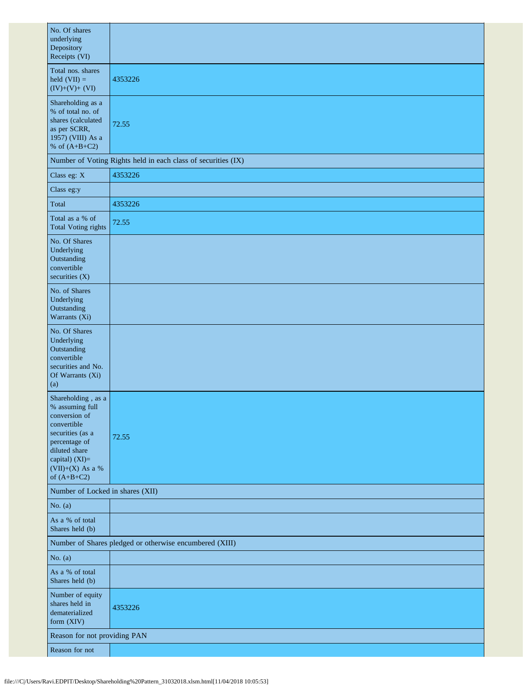| No. Of shares<br>underlying<br>Depository<br>Receipts (VI)                                                                                                                           |                                                               |  |  |  |  |  |
|--------------------------------------------------------------------------------------------------------------------------------------------------------------------------------------|---------------------------------------------------------------|--|--|--|--|--|
| Total nos. shares<br>held $(VII) =$<br>$(IV)+(V)+(VI)$                                                                                                                               | 4353226                                                       |  |  |  |  |  |
| Shareholding as a<br>% of total no. of<br>shares (calculated<br>as per SCRR,<br>1957) (VIII) As a<br>% of $(A+B+C2)$                                                                 | 72.55                                                         |  |  |  |  |  |
|                                                                                                                                                                                      | Number of Voting Rights held in each class of securities (IX) |  |  |  |  |  |
| Class eg: X                                                                                                                                                                          | 4353226                                                       |  |  |  |  |  |
| Class eg:y                                                                                                                                                                           |                                                               |  |  |  |  |  |
| Total                                                                                                                                                                                | 4353226                                                       |  |  |  |  |  |
| Total as a % of<br><b>Total Voting rights</b>                                                                                                                                        | 72.55                                                         |  |  |  |  |  |
| No. Of Shares<br>Underlying<br>Outstanding<br>convertible<br>securities $(X)$                                                                                                        |                                                               |  |  |  |  |  |
| No. of Shares<br>Underlying<br>Outstanding<br>Warrants (Xi)                                                                                                                          |                                                               |  |  |  |  |  |
| No. Of Shares<br>Underlying<br>Outstanding<br>convertible<br>securities and No.<br>Of Warrants (Xi)<br>(a)                                                                           |                                                               |  |  |  |  |  |
| Shareholding, as a<br>% assuming full<br>conversion of<br>convertible<br>securities (as a<br>percentage of<br>diluted share<br>capital) (XI)=<br>$(VII)+(X)$ As a %<br>of $(A+B+C2)$ | 72.55                                                         |  |  |  |  |  |
| Number of Locked in shares (XII)                                                                                                                                                     |                                                               |  |  |  |  |  |
| No. $(a)$                                                                                                                                                                            |                                                               |  |  |  |  |  |
| As a % of total<br>Shares held (b)                                                                                                                                                   |                                                               |  |  |  |  |  |
|                                                                                                                                                                                      | Number of Shares pledged or otherwise encumbered (XIII)       |  |  |  |  |  |
| No. $(a)$                                                                                                                                                                            |                                                               |  |  |  |  |  |
| As a % of total<br>Shares held (b)                                                                                                                                                   |                                                               |  |  |  |  |  |
| Number of equity<br>shares held in<br>dematerialized<br>form (XIV)                                                                                                                   | 4353226                                                       |  |  |  |  |  |
| Reason for not providing PAN                                                                                                                                                         |                                                               |  |  |  |  |  |
| Reason for not                                                                                                                                                                       |                                                               |  |  |  |  |  |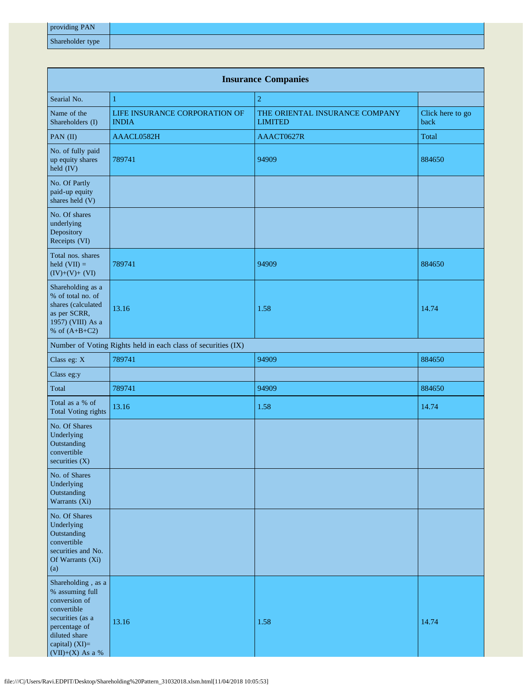| providing PAN    |  |
|------------------|--|
| Shareholder type |  |

| <b>Insurance Companies</b>                                                                                                                                        |                                                               |                                                  |                          |  |  |  |
|-------------------------------------------------------------------------------------------------------------------------------------------------------------------|---------------------------------------------------------------|--------------------------------------------------|--------------------------|--|--|--|
| Searial No.                                                                                                                                                       | $\mathbf{1}$                                                  | $\overline{2}$                                   |                          |  |  |  |
| Name of the<br>Shareholders (I)                                                                                                                                   | LIFE INSURANCE CORPORATION OF<br><b>INDIA</b>                 | THE ORIENTAL INSURANCE COMPANY<br><b>LIMITED</b> | Click here to go<br>back |  |  |  |
| PAN (II)                                                                                                                                                          | AAACL0582H                                                    | AAACT0627R                                       | Total                    |  |  |  |
| No. of fully paid<br>up equity shares<br>held (IV)                                                                                                                | 789741                                                        | 94909                                            | 884650                   |  |  |  |
| No. Of Partly<br>paid-up equity<br>shares held (V)                                                                                                                |                                                               |                                                  |                          |  |  |  |
| No. Of shares<br>underlying<br>Depository<br>Receipts (VI)                                                                                                        |                                                               |                                                  |                          |  |  |  |
| Total nos. shares<br>held $(VII) =$<br>$(IV)+(V)+(VI)$                                                                                                            | 789741                                                        | 94909                                            | 884650                   |  |  |  |
| Shareholding as a<br>% of total no. of<br>shares (calculated<br>as per SCRR,<br>1957) (VIII) As a<br>% of $(A+B+C2)$                                              | 13.16                                                         | 1.58                                             | 14.74                    |  |  |  |
|                                                                                                                                                                   | Number of Voting Rights held in each class of securities (IX) |                                                  |                          |  |  |  |
| Class eg: X                                                                                                                                                       | 789741                                                        | 94909                                            | 884650                   |  |  |  |
| Class eg:y                                                                                                                                                        |                                                               |                                                  |                          |  |  |  |
| Total                                                                                                                                                             | 789741                                                        | 94909                                            | 884650                   |  |  |  |
| Total as a % of<br><b>Total Voting rights</b>                                                                                                                     | 13.16                                                         | 1.58                                             | 14.74                    |  |  |  |
| No. Of Shares<br>Underlying<br>Outstanding<br>convertible<br>securities (X)                                                                                       |                                                               |                                                  |                          |  |  |  |
| No. of Shares<br>Underlying<br>Outstanding<br>Warrants (Xi)                                                                                                       |                                                               |                                                  |                          |  |  |  |
| No. Of Shares<br>Underlying<br>Outstanding<br>convertible<br>securities and No.<br>Of Warrants (Xi)<br>(a)                                                        |                                                               |                                                  |                          |  |  |  |
| Shareholding, as a<br>% assuming full<br>conversion of<br>convertible<br>securities (as a<br>percentage of<br>diluted share<br>capital) (XI)=<br>(VII)+(X) As a % | 13.16                                                         | 1.58                                             | 14.74                    |  |  |  |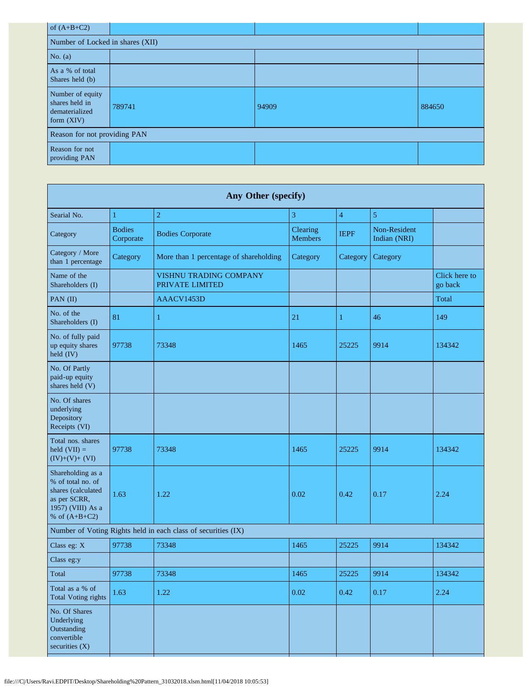| of $(A+B+C2)$                                                      |        |       |        |  |  |  |
|--------------------------------------------------------------------|--------|-------|--------|--|--|--|
| Number of Locked in shares (XII)                                   |        |       |        |  |  |  |
| No. $(a)$                                                          |        |       |        |  |  |  |
| As a % of total<br>Shares held (b)                                 |        |       |        |  |  |  |
| Number of equity<br>shares held in<br>dematerialized<br>form (XIV) | 789741 | 94909 | 884650 |  |  |  |
| Reason for not providing PAN                                       |        |       |        |  |  |  |
| Reason for not<br>providing PAN                                    |        |       |        |  |  |  |

| Any Other (specify)                                                                                                  |                            |                                                  |                            |                |                              |                          |
|----------------------------------------------------------------------------------------------------------------------|----------------------------|--------------------------------------------------|----------------------------|----------------|------------------------------|--------------------------|
| Searial No.                                                                                                          | $\mathbf{1}$               | $\overline{2}$                                   | 3                          | $\overline{4}$ | 5                            |                          |
| Category                                                                                                             | <b>Bodies</b><br>Corporate | <b>Bodies Corporate</b>                          | Clearing<br><b>Members</b> | <b>IEPF</b>    | Non-Resident<br>Indian (NRI) |                          |
| Category / More<br>than 1 percentage                                                                                 | Category                   | More than 1 percentage of shareholding           | Category                   | Category       | Category                     |                          |
| Name of the<br>Shareholders (I)                                                                                      |                            | <b>VISHNU TRADING COMPANY</b><br>PRIVATE LIMITED |                            |                |                              | Click here to<br>go back |
| PAN (II)                                                                                                             |                            | AAACV1453D                                       |                            |                |                              | Total                    |
| No. of the<br>Shareholders (I)                                                                                       | 81                         | 1                                                | 21                         | 1              | 46                           | 149                      |
| No. of fully paid<br>up equity shares<br>held (IV)                                                                   | 97738                      | 73348                                            | 1465                       | 25225          | 9914                         | 134342                   |
| No. Of Partly<br>paid-up equity<br>shares held (V)                                                                   |                            |                                                  |                            |                |                              |                          |
| No. Of shares<br>underlying<br>Depository<br>Receipts (VI)                                                           |                            |                                                  |                            |                |                              |                          |
| Total nos. shares<br>held $(VII) =$<br>$(IV)+(V)+(VI)$                                                               | 97738                      | 73348                                            | 1465                       | 25225          | 9914                         | 134342                   |
| Shareholding as a<br>% of total no. of<br>shares (calculated<br>as per SCRR,<br>1957) (VIII) As a<br>% of $(A+B+C2)$ | 1.63                       | 1.22                                             | 0.02                       | 0.42           | 0.17                         | 2.24                     |
| Number of Voting Rights held in each class of securities (IX)                                                        |                            |                                                  |                            |                |                              |                          |
| Class eg: X                                                                                                          | 97738                      | 73348                                            | 1465                       | 25225          | 9914                         | 134342                   |
| Class eg:y                                                                                                           |                            |                                                  |                            |                |                              |                          |
| Total                                                                                                                | 97738                      | 73348                                            | 1465                       | 25225          | 9914                         | 134342                   |
| Total as a % of<br><b>Total Voting rights</b>                                                                        | 1.63                       | $1.22\,$                                         | 0.02                       | 0.42           | $0.17\,$                     | 2.24                     |
| No. Of Shares<br>Underlying<br>Outstanding<br>convertible<br>securities (X)                                          |                            |                                                  |                            |                |                              |                          |